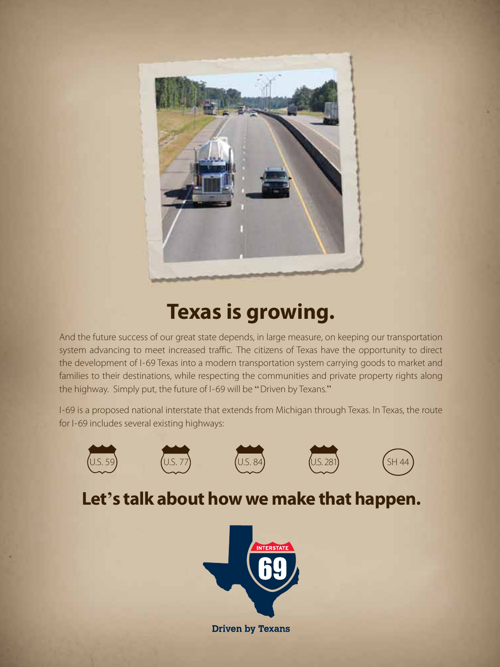

## **Texas is growing.**

And the future success of our great state depends, in large measure, on keeping our transportation system advancing to meet increased traffic. The citizens of Texas have the opportunity to direct the development of I-69 Texas into a modern transportation system carrying goods to market and families to their destinations, while respecting the communities and private property rights along the highway. Simply put, the future of I-69 will be "Driven by Texans."

I-69 is a proposed national interstate that extends from Michigan through Texas. In Texas, the route for I-69 includes several existing highways:











## **Let's talk about how we make that happen.**



**Driven by Texans**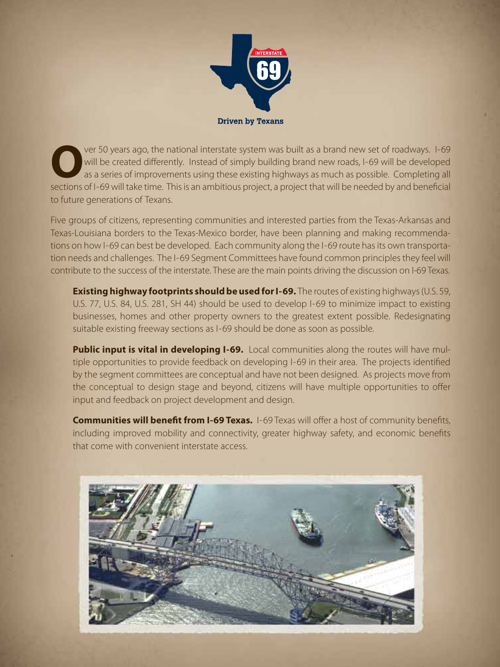

Ver 50 years ago, the national interstate system was built as a brand new set of roadways. I-69 will be created differently. Instead of simply building brand new roads, I-69 will be developed as a series of improvements us will be created differently. Instead of simply building brand new roads, I-69 will be developed as a series of improvements using these existing highways as much as possible. Completing all sections of I-69 will take time. This is an ambitious project, a project that will be needed by and beneficial to future generations of Texans.

Five groups of citizens, representing communities and interested parties from the Texas-Arkansas and Texas-Louisiana borders to the Texas-Mexico border, have been planning and making recommendations on how I-69 can best be developed. Each community along the I-69 route has its own transportation needs and challenges. The I-69 Segment Committees have found common principles they feel will contribute to the success of the interstate. These are the main points driving the discussion on I-69 Texas.

**Existing highway footprints should be used for I-69.** The routes of existing highways (U.S. 59, U.S. 77, U.S. 84, U.S. 281, SH 44) should be used to develop I-69 to minimize impact to existing businesses, homes and other property owners to the greatest extent possible. Redesignating suitable existing freeway sections as I-69 should be done as soon as possible.

**Public input is vital in developing I-69.** Local communities along the routes will have multiple opportunities to provide feedback on developing I-69 in their area. The projects identified by the segment committees are conceptual and have not been designed. As projects move from the conceptual to design stage and beyond, citizens will have multiple opportunities to offer input and feedback on project development and design.

**Communities will benefit from I-69 Texas.** I-69 Texas will offer a host of community benefits, including improved mobility and connectivity, greater highway safety, and economic benefits that come with convenient interstate access.

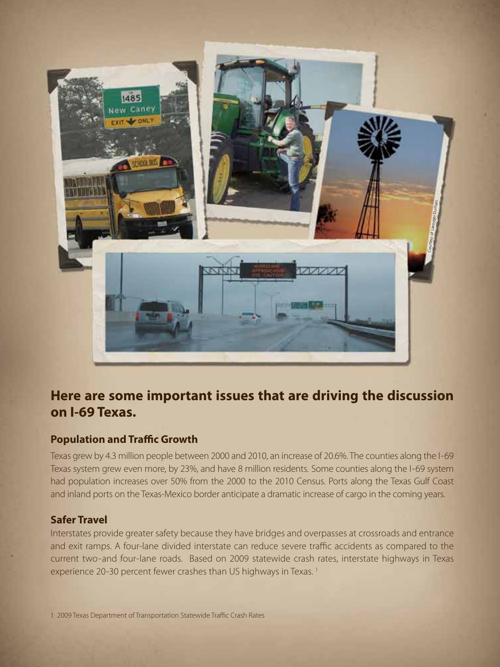

### **Here are some important issues that are driving the discussion on I-69 Texas.**

#### **Population and Traffic Growth**

Texas grew by 4.3 million people between 2000 and 2010, an increase of 20.6%. The counties along the I-69 Texas system grew even more, by 23%, and have 8 million residents. Some counties along the I-69 system had population increases over 50% from the 2000 to the 2010 Census. Ports along the Texas Gulf Coast and inland ports on the Texas-Mexico border anticipate a dramatic increase of cargo in the coming years.

#### **Safer Travel**

Interstates provide greater safety because they have bridges and overpasses at crossroads and entrance and exit ramps. A four-lane divided interstate can reduce severe traffic accidents as compared to the current two-and four-lane roads. Based on 2009 statewide crash rates, interstate highways in Texas experience 20-30 percent fewer crashes than US highways in Texas.<sup>1</sup>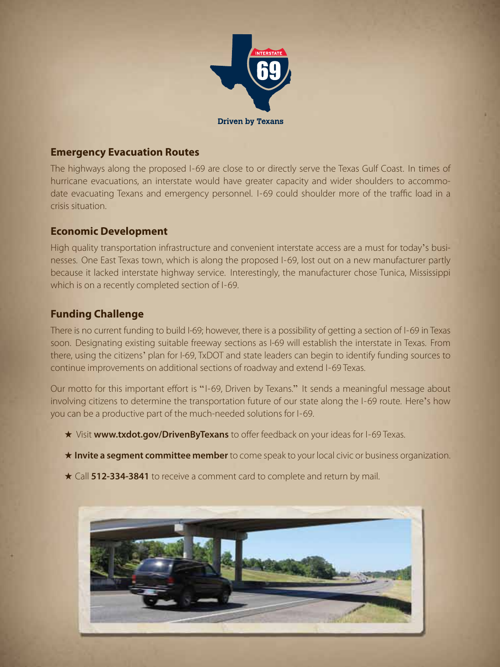

#### **Emergency Evacuation Routes**

The highways along the proposed I-69 are close to or directly serve the Texas Gulf Coast. In times of hurricane evacuations, an interstate would have greater capacity and wider shoulders to accommodate evacuating Texans and emergency personnel. I-69 could shoulder more of the traffic load in a crisis situation.

#### **Economic Development**

High quality transportation infrastructure and convenient interstate access are a must for today's businesses. One East Texas town, which is along the proposed I-69, lost out on a new manufacturer partly because it lacked interstate highway service. Interestingly, the manufacturer chose Tunica, Mississippi which is on a recently completed section of I-69.

#### **Funding Challenge**

There is no current funding to build I-69; however, there is a possibility of getting a section of I-69 in Texas soon. Designating existing suitable freeway sections as I-69 will establish the interstate in Texas. From there, using the citizens' plan for I-69, TxDOT and state leaders can begin to identify funding sources to continue improvements on additional sections of roadway and extend I-69 Texas.

Our motto for this important effort is " I-69, Driven by Texans." It sends a meaningful message about involving citizens to determine the transportation future of our state along the I-69 route. Here's how you can be a productive part of the much-needed solutions for I-69.

- ★ Visit **www.txdot.gov/DrivenByTexans** to offer feedback on your ideas for I-69 Texas.
- ★ **Invite a segment committee member** to come speak to your local civic or business organization.
- ★ Call **512-334-3841** to receive a comment card to complete and return by mail.

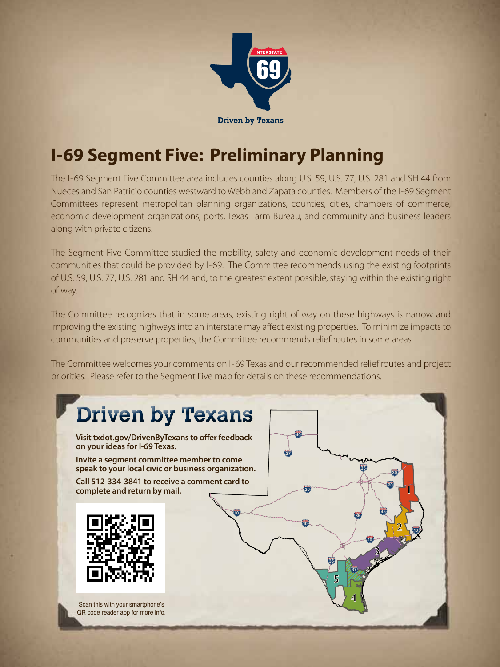

## **I-69 Segment Five: Preliminary Planning**

The I-69 Segment Five Committee area includes counties along U.S. 59, U.S. 77, U.S. 281 and SH 44 from Nueces and San Patricio counties westward to Webb and Zapata counties. Members of the I-69 Segment Committees represent metropolitan planning organizations, counties, cities, chambers of commerce, economic development organizations, ports, Texas Farm Bureau, and community and business leaders along with private citizens.

The Segment Five Committee studied the mobility, safety and economic development needs of their communities that could be provided by I-69. The Committee recommends using the existing footprints of U.S. 59, U.S. 77, U.S. 281 and SH 44 and, to the greatest extent possible, staying within the existing right of way.

The Committee recognizes that in some areas, existing right of way on these highways is narrow and improving the existing highways into an interstate may affect existing properties. To minimize impacts to communities and preserve properties, the Committee recommends relief routes in some areas.

The Committee welcomes your comments on I-69 Texas and our recommended relief routes and project priorities. Please refer to the Segment Five map for details on these recommendations.

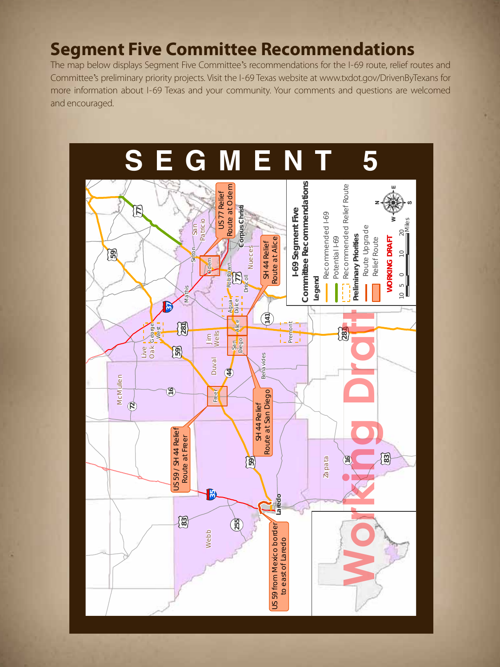## **Segment Five Committee Recommendations**

The map below displays Segment Five Committee's recommendations for the I-69 route, relief routes and Committee's preliminary priority projects. Visit the I-69 Texas website at www.txdot.gov/DrivenByTexans for more information about I-69 Texas and your community. Your comments and questions are welcomed and encouraged.

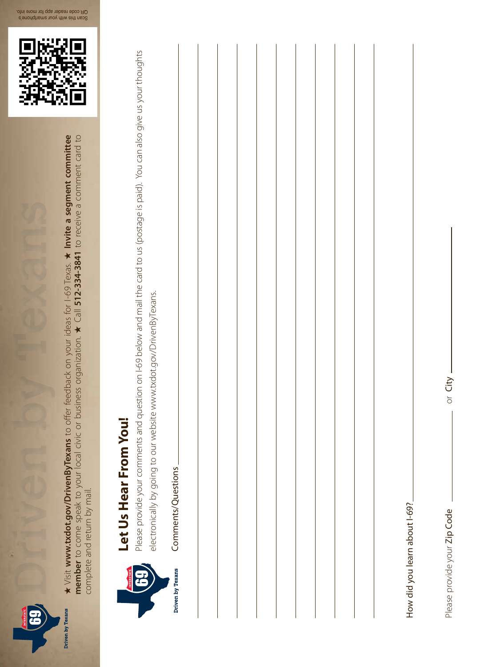

 $\star$  Visit www.txdot.gov/DrivenByTexans to offer feedback on your ideas for I-69 Texas.  $\star$  Invite a segment committee ★ Visit **www.txdot.gov/DrivenByTexans** to offer feedback on your ideas for I-69 Texas. ★ **Invite a segment committee**  member to come speak to your local civic or business organization. ★ Call 512-334-3841 to receive a comment card to **member** to come speak to your local civic or business organization. ★ Call **512-334-3841** to receive a comment card to complete and return by mail. complete and return by mail.





Please provide your comments and question on I-69 below and mail the card to us (postage is paid). You can also give us your thoughts Please provide your comments and question on I-69 below and mail the card to us (postage is paid). You can also give us your thoughts electronically by going to our website www.txdot.gov/DrivenByTexans. electronically by going to our website www.txdot.gov/DrivenByTexans.



|  |  |  | How did you learn about I-69 |
|--|--|--|------------------------------|
|  |  |  |                              |

Please provide your Zip Code <u>and a community</u> or City

Please provide your Zip Code

or City